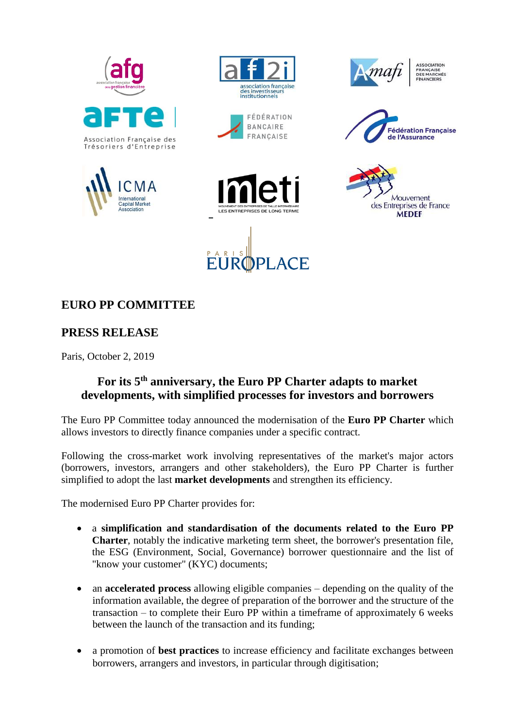













SOCIATION **ASSOCIATION**<br>FRANÇAISE<br>DES MARCHÉS INANCIERS





## **EURO PP COMMITTEE**

## **PRESS RELEASE**

Paris, October 2, 2019

## **For its 5th anniversary, the Euro PP Charter adapts to market developments, with simplified processes for investors and borrowers**

The Euro PP Committee today announced the modernisation of the **Euro PP Charter** which allows investors to directly finance companies under a specific contract.

Following the cross-market work involving representatives of the market's major actors (borrowers, investors, arrangers and other stakeholders), the Euro PP Charter is further simplified to adopt the last **market developments** and strengthen its efficiency.

The modernised Euro PP Charter provides for:

- a **simplification and standardisation of the documents related to the Euro PP Charter**, notably the indicative marketing term sheet, the borrower's presentation file, the ESG (Environment, Social, Governance) borrower questionnaire and the list of "know your customer" (KYC) documents;
- an **accelerated process** allowing eligible companies depending on the quality of the information available, the degree of preparation of the borrower and the structure of the transaction – to complete their Euro PP within a timeframe of approximately 6 weeks between the launch of the transaction and its funding;
- a promotion of **best practices** to increase efficiency and facilitate exchanges between borrowers, arrangers and investors, in particular through digitisation;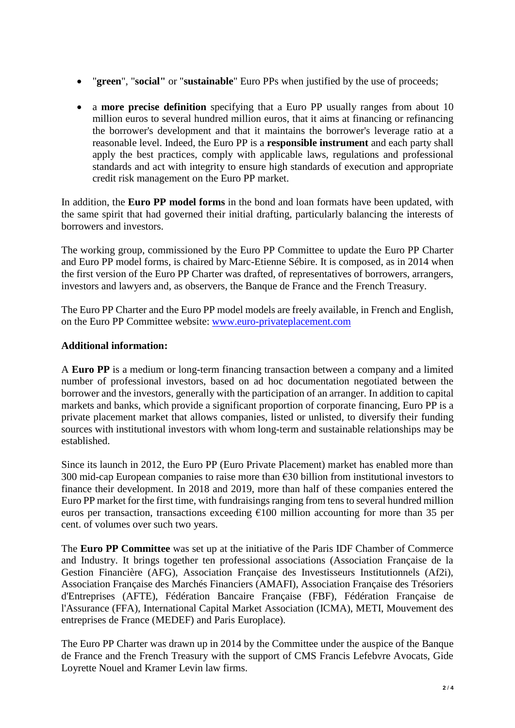- "**green**", "**social"** or "**sustainable**" Euro PPs when justified by the use of proceeds;
- a **more precise definition** specifying that a Euro PP usually ranges from about 10 million euros to several hundred million euros, that it aims at financing or refinancing the borrower's development and that it maintains the borrower's leverage ratio at a reasonable level. Indeed, the Euro PP is a **responsible instrument** and each party shall apply the best practices, comply with applicable laws, regulations and professional standards and act with integrity to ensure high standards of execution and appropriate credit risk management on the Euro PP market.

In addition, the **Euro PP model forms** in the bond and loan formats have been updated, with the same spirit that had governed their initial drafting, particularly balancing the interests of borrowers and investors.

The working group, commissioned by the Euro PP Committee to update the Euro PP Charter and Euro PP model forms, is chaired by Marc-Etienne Sébire. It is composed, as in 2014 when the first version of the Euro PP Charter was drafted, of representatives of borrowers, arrangers, investors and lawyers and, as observers, the Banque de France and the French Treasury.

The Euro PP Charter and the Euro PP model models are freely available, in French and English, on the Euro PP Committee website: [www.euro-privateplacement.com](http://www.euro-privateplacement.com/)

## **Additional information:**

A **Euro PP** is a medium or long-term financing transaction between a company and a limited number of professional investors, based on ad hoc documentation negotiated between the borrower and the investors, generally with the participation of an arranger. In addition to capital markets and banks, which provide a significant proportion of corporate financing, Euro PP is a private placement market that allows companies, listed or unlisted, to diversify their funding sources with institutional investors with whom long-term and sustainable relationships may be established.

Since its launch in 2012, the Euro PP (Euro Private Placement) market has enabled more than 300 mid-cap European companies to raise more than €30 billion from institutional investors to finance their development. In 2018 and 2019, more than half of these companies entered the Euro PP market for the first time, with fundraisings ranging from tens to several hundred million euros per transaction, transactions exceeding  $\epsilon$ 100 million accounting for more than 35 per cent. of volumes over such two years.

The **Euro PP Committee** was set up at the initiative of the Paris IDF Chamber of Commerce and Industry. It brings together ten professional associations (Association Française de la Gestion Financière (AFG), Association Française des Investisseurs Institutionnels (Af2i), Association Française des Marchés Financiers (AMAFI), Association Française des Trésoriers d'Entreprises (AFTE), Fédération Bancaire Française (FBF), Fédération Française de l'Assurance (FFA), International Capital Market Association (ICMA), METI, Mouvement des entreprises de France (MEDEF) and Paris Europlace).

The Euro PP Charter was drawn up in 2014 by the Committee under the auspice of the Banque de France and the French Treasury with the support of CMS Francis Lefebvre Avocats, Gide Loyrette Nouel and Kramer Levin law firms.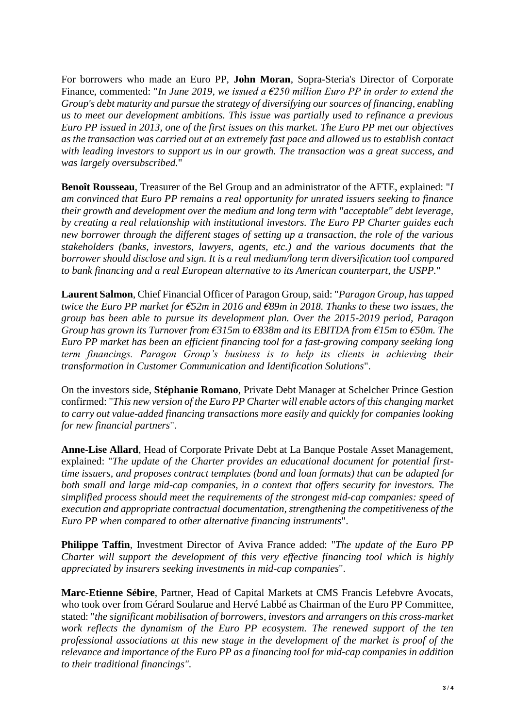For borrowers who made an Euro PP, **John Moran**, Sopra-Steria's Director of Corporate Finance, commented: "*In June 2019, we issued a €250 million Euro PP in order to extend the Group's debt maturity and pursue the strategy of diversifying our sources of financing, enabling us to meet our development ambitions. This issue was partially used to refinance a previous Euro PP issued in 2013, one of the first issues on this market. The Euro PP met our objectives as the transaction was carried out at an extremely fast pace and allowed us to establish contact with leading investors to support us in our growth. The transaction was a great success, and was largely oversubscribed.*"

**Benoît Rousseau**, Treasurer of the Bel Group and an administrator of the AFTE, explained: "*I am convinced that Euro PP remains a real opportunity for unrated issuers seeking to finance their growth and development over the medium and long term with "acceptable" debt leverage, by creating a real relationship with institutional investors. The Euro PP Charter guides each new borrower through the different stages of setting up a transaction, the role of the various stakeholders (banks, investors, lawyers, agents, etc.) and the various documents that the borrower should disclose and sign. It is a real medium/long term diversification tool compared to bank financing and a real European alternative to its American counterpart, the USPP.*"

**Laurent Salmon**, Chief Financial Officer of Paragon Group, said: "*Paragon Group, has tapped twice the Euro PP market for €52m in 2016 and €89m in 2018. Thanks to these two issues, the group has been able to pursue its development plan. Over the 2015-2019 period, Paragon Group has grown its Turnover from €315m to €838m and its EBITDA from €15m to €50m. The Euro PP market has been an efficient financing tool for a fast-growing company seeking long term financings. Paragon Group's business is to help its clients in achieving their transformation in Customer Communication and Identification Solutions*".

On the investors side, **Stéphanie Romano**, Private Debt Manager at Schelcher Prince Gestion confirmed: "*This new version of the Euro PP Charter will enable actors of this changing market to carry out value-added financing transactions more easily and quickly for companies looking for new financial partners*".

**Anne-Lise Allard**, Head of Corporate Private Debt at La Banque Postale Asset Management, explained: "*The update of the Charter provides an educational document for potential firsttime issuers, and proposes contract templates (bond and loan formats) that can be adapted for both small and large mid-cap companies, in a context that offers security for investors. The simplified process should meet the requirements of the strongest mid-cap companies: speed of execution and appropriate contractual documentation, strengthening the competitiveness of the Euro PP when compared to other alternative financing instruments*".

**Philippe Taffin**, Investment Director of Aviva France added: "*The update of the Euro PP Charter will support the development of this very effective financing tool which is highly appreciated by insurers seeking investments in mid-cap companies*".

**Marc-Etienne Sébire**, Partner, Head of Capital Markets at CMS Francis Lefebvre Avocats, who took over from Gérard Soularue and Hervé Labbé as Chairman of the Euro PP Committee, stated: "*the significant mobilisation of borrowers, investors and arrangers on this cross-market work reflects the dynamism of the Euro PP ecosystem. The renewed support of the ten professional associations at this new stage in the development of the market is proof of the relevance and importance of the Euro PP as a financing tool for mid-cap companies in addition to their traditional financings".*